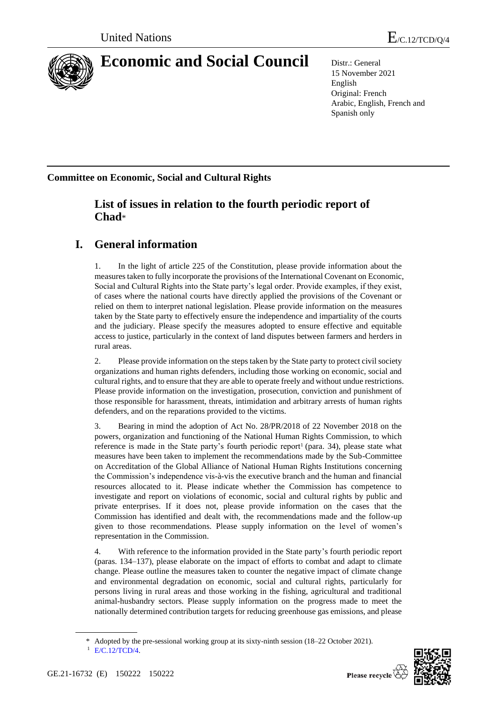

# **Economic and Social Council** Distr.: General

15 November 2021 English Original: French Arabic, English, French and Spanish only

**Committee on Economic, Social and Cultural Rights**

# **List of issues in relation to the fourth periodic report of Chad**\*

# **I. General information**

1. In the light of article 225 of the Constitution, please provide information about the measures taken to fully incorporate the provisions of the International Covenant on Economic, Social and Cultural Rights into the State party's legal order. Provide examples, if they exist, of cases where the national courts have directly applied the provisions of the Covenant or relied on them to interpret national legislation. Please provide information on the measures taken by the State party to effectively ensure the independence and impartiality of the courts and the judiciary. Please specify the measures adopted to ensure effective and equitable access to justice, particularly in the context of land disputes between farmers and herders in rural areas.

2. Please provide information on the steps taken by the State party to protect civil society organizations and human rights defenders, including those working on economic, social and cultural rights, and to ensure that they are able to operate freely and without undue restrictions. Please provide information on the investigation, prosecution, conviction and punishment of those responsible for harassment, threats, intimidation and arbitrary arrests of human rights defenders, and on the reparations provided to the victims.

3. Bearing in mind the adoption of Act No. 28/PR/2018 of 22 November 2018 on the powers, organization and functioning of the National Human Rights Commission, to which reference is made in the State party's fourth periodic report<sup>1</sup> (para. 34), please state what measures have been taken to implement the recommendations made by the Sub-Committee on Accreditation of the Global Alliance of National Human Rights Institutions concerning the Commission's independence vis-à-vis the executive branch and the human and financial resources allocated to it. Please indicate whether the Commission has competence to investigate and report on violations of economic, social and cultural rights by public and private enterprises. If it does not, please provide information on the cases that the Commission has identified and dealt with, the recommendations made and the follow-up given to those recommendations. Please supply information on the level of women's representation in the Commission.

4. With reference to the information provided in the State party's fourth periodic report (paras. 134–137), please elaborate on the impact of efforts to combat and adapt to climate change. Please outline the measures taken to counter the negative impact of climate change and environmental degradation on economic, social and cultural rights, particularly for persons living in rural areas and those working in the fishing, agricultural and traditional animal-husbandry sectors. Please supply information on the progress made to meet the nationally determined contribution targets for reducing greenhouse gas emissions, and please



<sup>\*</sup> Adopted by the pre-sessional working group at its sixty-ninth session (18–22 October 2021).

<sup>1</sup> [E/C.12/TCD/4.](http://undocs.org/en/E/C.12/TCD/4)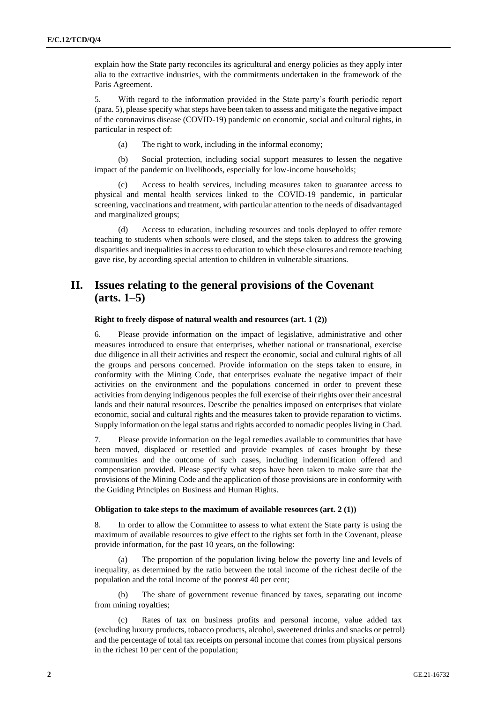explain how the State party reconciles its agricultural and energy policies as they apply inter alia to the extractive industries, with the commitments undertaken in the framework of the Paris Agreement.

5. With regard to the information provided in the State party's fourth periodic report (para. 5), please specify what steps have been taken to assess and mitigate the negative impact of the coronavirus disease (COVID-19) pandemic on economic, social and cultural rights, in particular in respect of:

(a) The right to work, including in the informal economy;

(b) Social protection, including social support measures to lessen the negative impact of the pandemic on livelihoods, especially for low-income households;

Access to health services, including measures taken to guarantee access to physical and mental health services linked to the COVID-19 pandemic, in particular screening, vaccinations and treatment, with particular attention to the needs of disadvantaged and marginalized groups;

(d) Access to education, including resources and tools deployed to offer remote teaching to students when schools were closed, and the steps taken to address the growing disparities and inequalities in access to education to which these closures and remote teaching gave rise, by according special attention to children in vulnerable situations.

# **II. Issues relating to the general provisions of the Covenant (arts. 1–5)**

# **Right to freely dispose of natural wealth and resources (art. 1 (2))**

6. Please provide information on the impact of legislative, administrative and other measures introduced to ensure that enterprises, whether national or transnational, exercise due diligence in all their activities and respect the economic, social and cultural rights of all the groups and persons concerned. Provide information on the steps taken to ensure, in conformity with the Mining Code, that enterprises evaluate the negative impact of their activities on the environment and the populations concerned in order to prevent these activities from denying indigenous peoples the full exercise of their rights over their ancestral lands and their natural resources. Describe the penalties imposed on enterprises that violate economic, social and cultural rights and the measures taken to provide reparation to victims. Supply information on the legal status and rights accorded to nomadic peoples living in Chad.

7. Please provide information on the legal remedies available to communities that have been moved, displaced or resettled and provide examples of cases brought by these communities and the outcome of such cases, including indemnification offered and compensation provided. Please specify what steps have been taken to make sure that the provisions of the Mining Code and the application of those provisions are in conformity with the Guiding Principles on Business and Human Rights.

#### **Obligation to take steps to the maximum of available resources (art. 2 (1))**

8. In order to allow the Committee to assess to what extent the State party is using the maximum of available resources to give effect to the rights set forth in the Covenant, please provide information, for the past 10 years, on the following:

The proportion of the population living below the poverty line and levels of inequality, as determined by the ratio between the total income of the richest decile of the population and the total income of the poorest 40 per cent;

(b) The share of government revenue financed by taxes, separating out income from mining royalties;

(c) Rates of tax on business profits and personal income, value added tax (excluding luxury products, tobacco products, alcohol, sweetened drinks and snacks or petrol) and the percentage of total tax receipts on personal income that comes from physical persons in the richest 10 per cent of the population;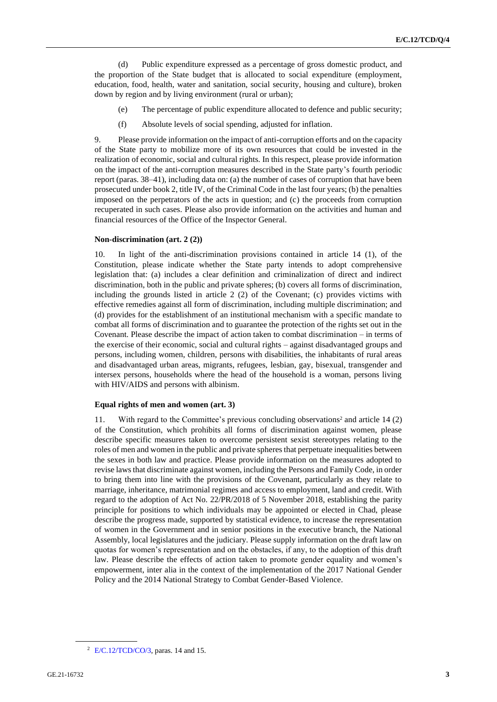(d) Public expenditure expressed as a percentage of gross domestic product, and the proportion of the State budget that is allocated to social expenditure (employment, education, food, health, water and sanitation, social security, housing and culture), broken down by region and by living environment (rural or urban);

- (e) The percentage of public expenditure allocated to defence and public security;
- (f) Absolute levels of social spending, adjusted for inflation.

9. Please provide information on the impact of anti-corruption efforts and on the capacity of the State party to mobilize more of its own resources that could be invested in the realization of economic, social and cultural rights. In this respect, please provide information on the impact of the anti-corruption measures described in the State party's fourth periodic report (paras. 38–41), including data on: (a) the number of cases of corruption that have been prosecuted under book 2, title IV, of the Criminal Code in the last four years; (b) the penalties imposed on the perpetrators of the acts in question; and (c) the proceeds from corruption recuperated in such cases. Please also provide information on the activities and human and financial resources of the Office of the Inspector General.

## **Non-discrimination (art. 2 (2))**

10. In light of the anti-discrimination provisions contained in article 14 (1), of the Constitution, please indicate whether the State party intends to adopt comprehensive legislation that: (a) includes a clear definition and criminalization of direct and indirect discrimination, both in the public and private spheres; (b) covers all forms of discrimination, including the grounds listed in article 2 (2) of the Covenant; (c) provides victims with effective remedies against all form of discrimination, including multiple discrimination; and (d) provides for the establishment of an institutional mechanism with a specific mandate to combat all forms of discrimination and to guarantee the protection of the rights set out in the Covenant. Please describe the impact of action taken to combat discrimination – in terms of the exercise of their economic, social and cultural rights – against disadvantaged groups and persons, including women, children, persons with disabilities, the inhabitants of rural areas and disadvantaged urban areas, migrants, refugees, lesbian, gay, bisexual, transgender and intersex persons, households where the head of the household is a woman, persons living with HIV/AIDS and persons with albinism.

#### **Equal rights of men and women (art. 3)**

11. With regard to the Committee's previous concluding observations<sup>2</sup> and article 14 (2) of the Constitution, which prohibits all forms of discrimination against women, please describe specific measures taken to overcome persistent sexist stereotypes relating to the roles of men and women in the public and private spheres that perpetuate inequalities between the sexes in both law and practice. Please provide information on the measures adopted to revise laws that discriminate against women, including the Persons and Family Code, in order to bring them into line with the provisions of the Covenant, particularly as they relate to marriage, inheritance, matrimonial regimes and access to employment, land and credit. With regard to the adoption of Act No. 22/PR/2018 of 5 November 2018, establishing the parity principle for positions to which individuals may be appointed or elected in Chad, please describe the progress made, supported by statistical evidence, to increase the representation of women in the Government and in senior positions in the executive branch, the National Assembly, local legislatures and the judiciary. Please supply information on the draft law on quotas for women's representation and on the obstacles, if any, to the adoption of this draft law. Please describe the effects of action taken to promote gender equality and women's empowerment, inter alia in the context of the implementation of the 2017 National Gender Policy and the 2014 National Strategy to Combat Gender-Based Violence.

<sup>&</sup>lt;sup>2</sup> [E/C.12/TCD/CO/3,](http://undocs.org/en/E/C.12/TCD/CO/3) paras. 14 and 15.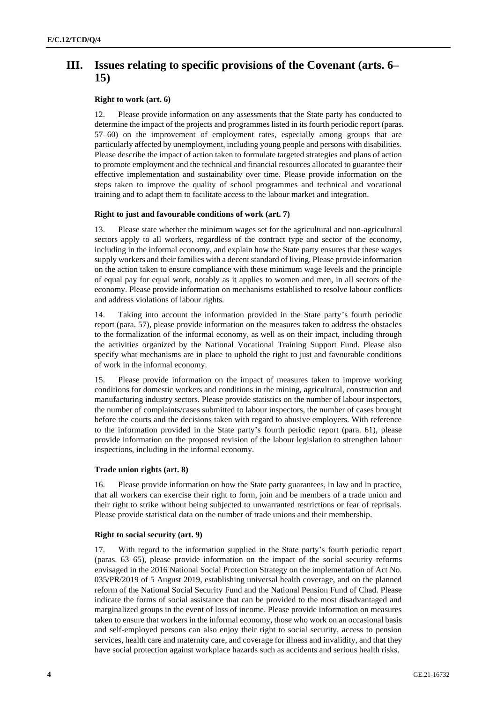# **III. Issues relating to specific provisions of the Covenant (arts. 6– 15)**

# **Right to work (art. 6)**

12. Please provide information on any assessments that the State party has conducted to determine the impact of the projects and programmes listed in its fourth periodic report (paras. 57–60) on the improvement of employment rates, especially among groups that are particularly affected by unemployment, including young people and persons with disabilities. Please describe the impact of action taken to formulate targeted strategies and plans of action to promote employment and the technical and financial resources allocated to guarantee their effective implementation and sustainability over time. Please provide information on the steps taken to improve the quality of school programmes and technical and vocational training and to adapt them to facilitate access to the labour market and integration.

# **Right to just and favourable conditions of work (art. 7)**

13. Please state whether the minimum wages set for the agricultural and non-agricultural sectors apply to all workers, regardless of the contract type and sector of the economy, including in the informal economy, and explain how the State party ensures that these wages supply workers and their families with a decent standard of living. Please provide information on the action taken to ensure compliance with these minimum wage levels and the principle of equal pay for equal work, notably as it applies to women and men, in all sectors of the economy. Please provide information on mechanisms established to resolve labour conflicts and address violations of labour rights.

14. Taking into account the information provided in the State party's fourth periodic report (para. 57), please provide information on the measures taken to address the obstacles to the formalization of the informal economy, as well as on their impact, including through the activities organized by the National Vocational Training Support Fund. Please also specify what mechanisms are in place to uphold the right to just and favourable conditions of work in the informal economy.

15. Please provide information on the impact of measures taken to improve working conditions for domestic workers and conditions in the mining, agricultural, construction and manufacturing industry sectors. Please provide statistics on the number of labour inspectors, the number of complaints/cases submitted to labour inspectors, the number of cases brought before the courts and the decisions taken with regard to abusive employers. With reference to the information provided in the State party's fourth periodic report (para. 61), please provide information on the proposed revision of the labour legislation to strengthen labour inspections, including in the informal economy.

## **Trade union rights (art. 8)**

16. Please provide information on how the State party guarantees, in law and in practice, that all workers can exercise their right to form, join and be members of a trade union and their right to strike without being subjected to unwarranted restrictions or fear of reprisals. Please provide statistical data on the number of trade unions and their membership.

## **Right to social security (art. 9)**

17. With regard to the information supplied in the State party's fourth periodic report (paras. 63–65), please provide information on the impact of the social security reforms envisaged in the 2016 National Social Protection Strategy on the implementation of Act No. 035/PR/2019 of 5 August 2019, establishing universal health coverage, and on the planned reform of the National Social Security Fund and the National Pension Fund of Chad. Please indicate the forms of social assistance that can be provided to the most disadvantaged and marginalized groups in the event of loss of income. Please provide information on measures taken to ensure that workers in the informal economy, those who work on an occasional basis and self-employed persons can also enjoy their right to social security, access to pension services, health care and maternity care, and coverage for illness and invalidity, and that they have social protection against workplace hazards such as accidents and serious health risks.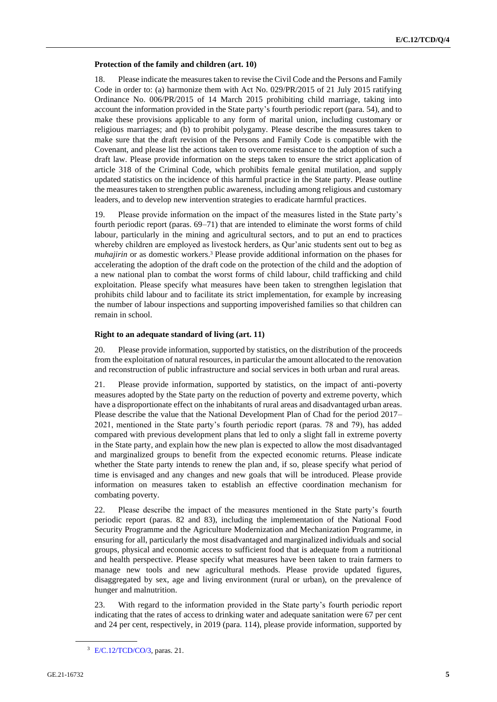## **Protection of the family and children (art. 10)**

18. Please indicate the measures taken to revise the Civil Code and the Persons and Family Code in order to: (a) harmonize them with Act No. 029/PR/2015 of 21 July 2015 ratifying Ordinance No. 006/PR/2015 of 14 March 2015 prohibiting child marriage, taking into account the information provided in the State party's fourth periodic report (para. 54), and to make these provisions applicable to any form of marital union, including customary or religious marriages; and (b) to prohibit polygamy. Please describe the measures taken to make sure that the draft revision of the Persons and Family Code is compatible with the Covenant, and please list the actions taken to overcome resistance to the adoption of such a draft law. Please provide information on the steps taken to ensure the strict application of article 318 of the Criminal Code, which prohibits female genital mutilation, and supply updated statistics on the incidence of this harmful practice in the State party. Please outline the measures taken to strengthen public awareness, including among religious and customary leaders, and to develop new intervention strategies to eradicate harmful practices.

19. Please provide information on the impact of the measures listed in the State party's fourth periodic report (paras. 69–71) that are intended to eliminate the worst forms of child labour, particularly in the mining and agricultural sectors, and to put an end to practices whereby children are employed as livestock herders, as Qur'anic students sent out to beg as *muhajirin* or as domestic workers.<sup>3</sup> Please provide additional information on the phases for accelerating the adoption of the draft code on the protection of the child and the adoption of a new national plan to combat the worst forms of child labour, child trafficking and child exploitation. Please specify what measures have been taken to strengthen legislation that prohibits child labour and to facilitate its strict implementation, for example by increasing the number of labour inspections and supporting impoverished families so that children can remain in school.

# **Right to an adequate standard of living (art. 11)**

20. Please provide information, supported by statistics, on the distribution of the proceeds from the exploitation of natural resources, in particular the amount allocated to the renovation and reconstruction of public infrastructure and social services in both urban and rural areas.

21. Please provide information, supported by statistics, on the impact of anti-poverty measures adopted by the State party on the reduction of poverty and extreme poverty, which have a disproportionate effect on the inhabitants of rural areas and disadvantaged urban areas. Please describe the value that the National Development Plan of Chad for the period 2017– 2021, mentioned in the State party's fourth periodic report (paras. 78 and 79), has added compared with previous development plans that led to only a slight fall in extreme poverty in the State party, and explain how the new plan is expected to allow the most disadvantaged and marginalized groups to benefit from the expected economic returns. Please indicate whether the State party intends to renew the plan and, if so, please specify what period of time is envisaged and any changes and new goals that will be introduced. Please provide information on measures taken to establish an effective coordination mechanism for combating poverty.

22. Please describe the impact of the measures mentioned in the State party's fourth periodic report (paras. 82 and 83), including the implementation of the National Food Security Programme and the Agriculture Modernization and Mechanization Programme, in ensuring for all, particularly the most disadvantaged and marginalized individuals and social groups, physical and economic access to sufficient food that is adequate from a nutritional and health perspective. Please specify what measures have been taken to train farmers to manage new tools and new agricultural methods. Please provide updated figures, disaggregated by sex, age and living environment (rural or urban), on the prevalence of hunger and malnutrition.

23. With regard to the information provided in the State party's fourth periodic report indicating that the rates of access to drinking water and adequate sanitation were 67 per cent and 24 per cent, respectively, in 2019 (para. 114), please provide information, supported by

<sup>3</sup> [E/C.12/TCD/CO/3,](http://undocs.org/en/E/C.12/TCD/CO/3) paras. 21.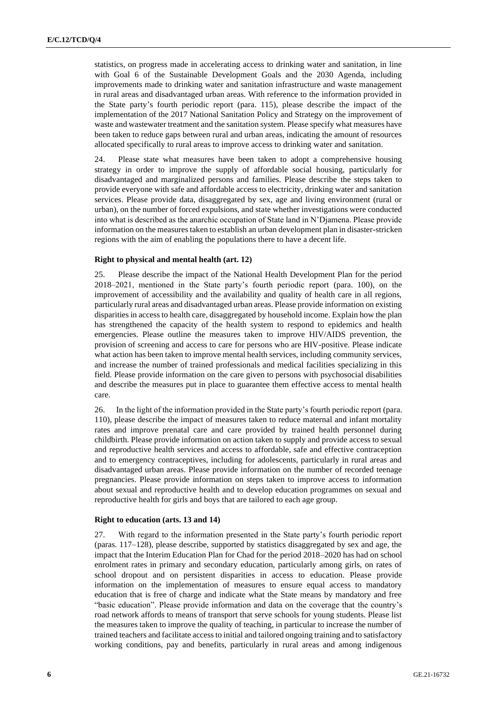statistics, on progress made in accelerating access to drinking water and sanitation, in line with Goal 6 of the Sustainable Development Goals and the 2030 Agenda, including improvements made to drinking water and sanitation infrastructure and waste management in rural areas and disadvantaged urban areas. With reference to the information provided in the State party's fourth periodic report (para. 115), please describe the impact of the implementation of the 2017 National Sanitation Policy and Strategy on the improvement of waste and wastewater treatment and the sanitation system. Please specify what measures have been taken to reduce gaps between rural and urban areas, indicating the amount of resources allocated specifically to rural areas to improve access to drinking water and sanitation.

24. Please state what measures have been taken to adopt a comprehensive housing strategy in order to improve the supply of affordable social housing, particularly for disadvantaged and marginalized persons and families. Please describe the steps taken to provide everyone with safe and affordable access to electricity, drinking water and sanitation services. Please provide data, disaggregated by sex, age and living environment (rural or urban), on the number of forced expulsions, and state whether investigations were conducted into what is described as the anarchic occupation of State land in N'Djamena. Please provide information on the measures taken to establish an urban development plan in disaster-stricken regions with the aim of enabling the populations there to have a decent life.

## **Right to physical and mental health (art. 12)**

25. Please describe the impact of the National Health Development Plan for the period 2018–2021, mentioned in the State party's fourth periodic report (para. 100), on the improvement of accessibility and the availability and quality of health care in all regions, particularly rural areas and disadvantaged urban areas. Please provide information on existing disparities in access to health care, disaggregated by household income. Explain how the plan has strengthened the capacity of the health system to respond to epidemics and health emergencies. Please outline the measures taken to improve HIV/AIDS prevention, the provision of screening and access to care for persons who are HIV-positive. Please indicate what action has been taken to improve mental health services, including community services, and increase the number of trained professionals and medical facilities specializing in this field. Please provide information on the care given to persons with psychosocial disabilities and describe the measures put in place to guarantee them effective access to mental health care.

26. In the light of the information provided in the State party's fourth periodic report (para. 110), please describe the impact of measures taken to reduce maternal and infant mortality rates and improve prenatal care and care provided by trained health personnel during childbirth. Please provide information on action taken to supply and provide access to sexual and reproductive health services and access to affordable, safe and effective contraception and to emergency contraceptives, including for adolescents, particularly in rural areas and disadvantaged urban areas. Please provide information on the number of recorded teenage pregnancies. Please provide information on steps taken to improve access to information about sexual and reproductive health and to develop education programmes on sexual and reproductive health for girls and boys that are tailored to each age group.

#### **Right to education (arts. 13 and 14)**

27. With regard to the information presented in the State party's fourth periodic report (paras. 117–128), please describe, supported by statistics disaggregated by sex and age, the impact that the Interim Education Plan for Chad for the period 2018–2020 has had on school enrolment rates in primary and secondary education, particularly among girls, on rates of school dropout and on persistent disparities in access to education. Please provide information on the implementation of measures to ensure equal access to mandatory education that is free of charge and indicate what the State means by mandatory and free "basic education". Please provide information and data on the coverage that the country's road network affords to means of transport that serve schools for young students. Please list the measures taken to improve the quality of teaching, in particular to increase the number of trained teachers and facilitate access to initial and tailored ongoing training and to satisfactory working conditions, pay and benefits, particularly in rural areas and among indigenous